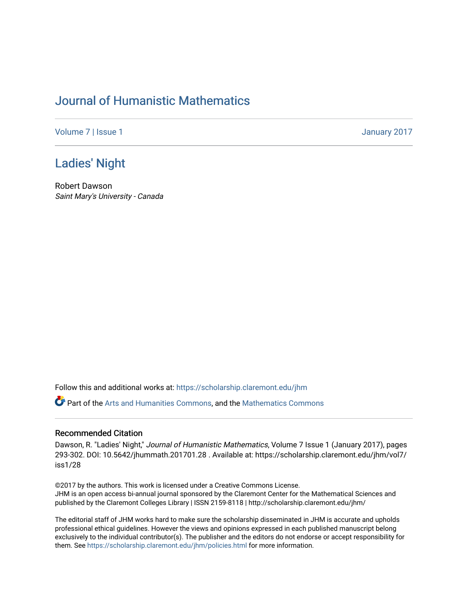## [Journal of Humanistic Mathematics](https://scholarship.claremont.edu/jhm)

[Volume 7](https://scholarship.claremont.edu/jhm/vol7) | [Issue 1](https://scholarship.claremont.edu/jhm/vol7/iss1) January 2017

## [Ladies' Night](https://scholarship.claremont.edu/jhm/vol7/iss1/28)

Robert Dawson Saint Mary's University - Canada

Follow this and additional works at: [https://scholarship.claremont.edu/jhm](https://scholarship.claremont.edu/jhm?utm_source=scholarship.claremont.edu%2Fjhm%2Fvol7%2Fiss1%2F28&utm_medium=PDF&utm_campaign=PDFCoverPages)

Part of the [Arts and Humanities Commons,](http://network.bepress.com/hgg/discipline/438?utm_source=scholarship.claremont.edu%2Fjhm%2Fvol7%2Fiss1%2F28&utm_medium=PDF&utm_campaign=PDFCoverPages) and the [Mathematics Commons](http://network.bepress.com/hgg/discipline/174?utm_source=scholarship.claremont.edu%2Fjhm%2Fvol7%2Fiss1%2F28&utm_medium=PDF&utm_campaign=PDFCoverPages) 

## Recommended Citation

Dawson, R. "Ladies' Night," Journal of Humanistic Mathematics, Volume 7 Issue 1 (January 2017), pages 293-302. DOI: 10.5642/jhummath.201701.28 . Available at: https://scholarship.claremont.edu/jhm/vol7/ iss1/28

©2017 by the authors. This work is licensed under a Creative Commons License. JHM is an open access bi-annual journal sponsored by the Claremont Center for the Mathematical Sciences and published by the Claremont Colleges Library | ISSN 2159-8118 | http://scholarship.claremont.edu/jhm/

The editorial staff of JHM works hard to make sure the scholarship disseminated in JHM is accurate and upholds professional ethical guidelines. However the views and opinions expressed in each published manuscript belong exclusively to the individual contributor(s). The publisher and the editors do not endorse or accept responsibility for them. See<https://scholarship.claremont.edu/jhm/policies.html> for more information.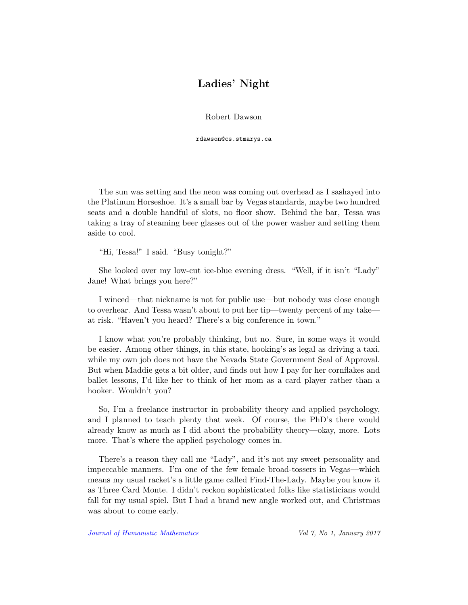## Ladies' Night

Robert Dawson

rdawson@cs.stmarys.ca

The sun was setting and the neon was coming out overhead as I sashayed into the Platinum Horseshoe. It's a small bar by Vegas standards, maybe two hundred seats and a double handful of slots, no floor show. Behind the bar, Tessa was taking a tray of steaming beer glasses out of the power washer and setting them aside to cool.

"Hi, Tessa!" I said. "Busy tonight?"

She looked over my low-cut ice-blue evening dress. "Well, if it isn't "Lady" Jane! What brings you here?"

I winced—that nickname is not for public use—but nobody was close enough to overhear. And Tessa wasn't about to put her tip—twenty percent of my take at risk. "Haven't you heard? There's a big conference in town."

I know what you're probably thinking, but no. Sure, in some ways it would be easier. Among other things, in this state, hooking's as legal as driving a taxi, while my own job does not have the Nevada State Government Seal of Approval. But when Maddie gets a bit older, and finds out how I pay for her cornflakes and ballet lessons, I'd like her to think of her mom as a card player rather than a hooker. Wouldn't you?

So, I'm a freelance instructor in probability theory and applied psychology, and I planned to teach plenty that week. Of course, the PhD's there would already know as much as I did about the probability theory—okay, more. Lots more. That's where the applied psychology comes in.

There's a reason they call me "Lady", and it's not my sweet personality and impeccable manners. I'm one of the few female broad-tossers in Vegas—which means my usual racket's a little game called Find-The-Lady. Maybe you know it as Three Card Monte. I didn't reckon sophisticated folks like statisticians would fall for my usual spiel. But I had a brand new angle worked out, and Christmas was about to come early.

[Journal of Humanistic Mathematics](http://scholarship.claremont.edu/jhm/) Vol 7, No 1, January 2017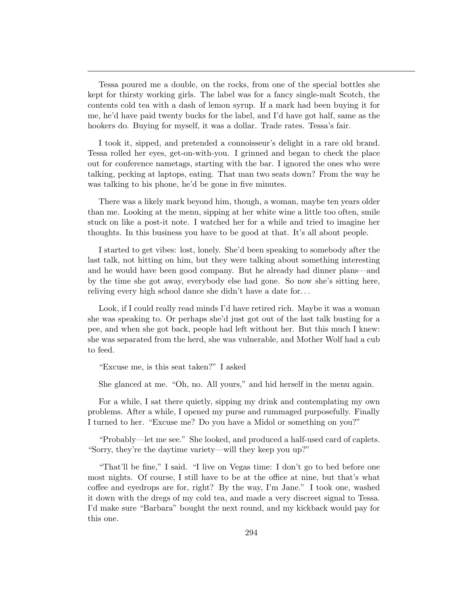Tessa poured me a double, on the rocks, from one of the special bottles she kept for thirsty working girls. The label was for a fancy single-malt Scotch, the contents cold tea with a dash of lemon syrup. If a mark had been buying it for me, he'd have paid twenty bucks for the label, and I'd have got half, same as the hookers do. Buying for myself, it was a dollar. Trade rates. Tessa's fair.

I took it, sipped, and pretended a connoisseur's delight in a rare old brand. Tessa rolled her eyes, get-on-with-you. I grinned and began to check the place out for conference nametags, starting with the bar. I ignored the ones who were talking, pecking at laptops, eating. That man two seats down? From the way he was talking to his phone, he'd be gone in five minutes.

There was a likely mark beyond him, though, a woman, maybe ten years older than me. Looking at the menu, sipping at her white wine a little too often, smile stuck on like a post-it note. I watched her for a while and tried to imagine her thoughts. In this business you have to be good at that. It's all about people.

I started to get vibes: lost, lonely. She'd been speaking to somebody after the last talk, not hitting on him, but they were talking about something interesting and he would have been good company. But he already had dinner plans—and by the time she got away, everybody else had gone. So now she's sitting here, reliving every high school dance she didn't have a date for. . .

Look, if I could really read minds I'd have retired rich. Maybe it was a woman she was speaking to. Or perhaps she'd just got out of the last talk busting for a pee, and when she got back, people had left without her. But this much I knew: she was separated from the herd, she was vulnerable, and Mother Wolf had a cub to feed.

"Excuse me, is this seat taken?" I asked

She glanced at me. "Oh, no. All yours," and hid herself in the menu again.

For a while, I sat there quietly, sipping my drink and contemplating my own problems. After a while, I opened my purse and rummaged purposefully. Finally I turned to her. "Excuse me? Do you have a Midol or something on you?"

"Probably—let me see." She looked, and produced a half-used card of caplets. "Sorry, they're the daytime variety—will they keep you up?"

"That'll be fine," I said. "I live on Vegas time: I don't go to bed before one most nights. Of course, I still have to be at the office at nine, but that's what coffee and eyedrops are for, right? By the way, I'm Jane." I took one, washed it down with the dregs of my cold tea, and made a very discreet signal to Tessa. I'd make sure "Barbara" bought the next round, and my kickback would pay for this one.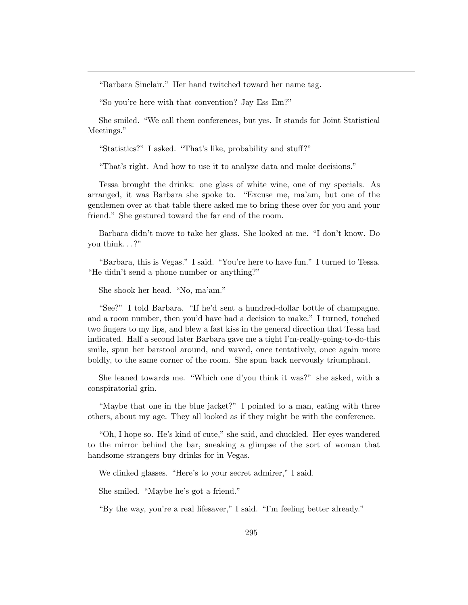"Barbara Sinclair." Her hand twitched toward her name tag.

"So you're here with that convention? Jay Ess Em?"

She smiled. "We call them conferences, but yes. It stands for Joint Statistical Meetings."

"Statistics?" I asked. "That's like, probability and stuff?"

"That's right. And how to use it to analyze data and make decisions."

Tessa brought the drinks: one glass of white wine, one of my specials. As arranged, it was Barbara she spoke to. "Excuse me, ma'am, but one of the gentlemen over at that table there asked me to bring these over for you and your friend." She gestured toward the far end of the room.

Barbara didn't move to take her glass. She looked at me. "I don't know. Do you think. . . ?"

"Barbara, this is Vegas." I said. "You're here to have fun." I turned to Tessa. "He didn't send a phone number or anything?"

She shook her head. "No, ma'am."

"See?" I told Barbara. "If he'd sent a hundred-dollar bottle of champagne, and a room number, then you'd have had a decision to make." I turned, touched two fingers to my lips, and blew a fast kiss in the general direction that Tessa had indicated. Half a second later Barbara gave me a tight I'm-really-going-to-do-this smile, spun her barstool around, and waved, once tentatively, once again more boldly, to the same corner of the room. She spun back nervously triumphant.

She leaned towards me. "Which one d'you think it was?" she asked, with a conspiratorial grin.

"Maybe that one in the blue jacket?" I pointed to a man, eating with three others, about my age. They all looked as if they might be with the conference.

"Oh, I hope so. He's kind of cute," she said, and chuckled. Her eyes wandered to the mirror behind the bar, sneaking a glimpse of the sort of woman that handsome strangers buy drinks for in Vegas.

We clinked glasses. "Here's to your secret admirer," I said.

She smiled. "Maybe he's got a friend."

"By the way, you're a real lifesaver," I said. "I'm feeling better already."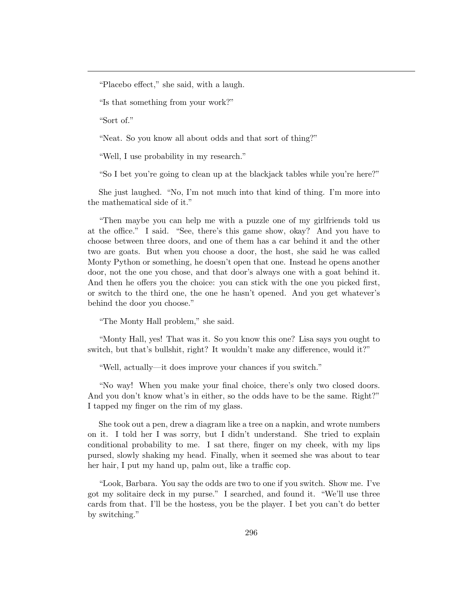"Placebo effect," she said, with a laugh.

"Is that something from your work?"

"Sort of."

"Neat. So you know all about odds and that sort of thing?"

"Well, I use probability in my research."

"So I bet you're going to clean up at the blackjack tables while you're here?"

She just laughed. "No, I'm not much into that kind of thing. I'm more into the mathematical side of it."

"Then maybe you can help me with a puzzle one of my girlfriends told us at the office." I said. "See, there's this game show, okay? And you have to choose between three doors, and one of them has a car behind it and the other two are goats. But when you choose a door, the host, she said he was called Monty Python or something, he doesn't open that one. Instead he opens another door, not the one you chose, and that door's always one with a goat behind it. And then he offers you the choice: you can stick with the one you picked first, or switch to the third one, the one he hasn't opened. And you get whatever's behind the door you choose."

"The Monty Hall problem," she said.

"Monty Hall, yes! That was it. So you know this one? Lisa says you ought to switch, but that's bullshit, right? It wouldn't make any difference, would it?"

"Well, actually—it does improve your chances if you switch."

"No way! When you make your final choice, there's only two closed doors. And you don't know what's in either, so the odds have to be the same. Right?" I tapped my finger on the rim of my glass.

She took out a pen, drew a diagram like a tree on a napkin, and wrote numbers on it. I told her I was sorry, but I didn't understand. She tried to explain conditional probability to me. I sat there, finger on my cheek, with my lips pursed, slowly shaking my head. Finally, when it seemed she was about to tear her hair, I put my hand up, palm out, like a traffic cop.

"Look, Barbara. You say the odds are two to one if you switch. Show me. I've got my solitaire deck in my purse." I searched, and found it. "We'll use three cards from that. I'll be the hostess, you be the player. I bet you can't do better by switching."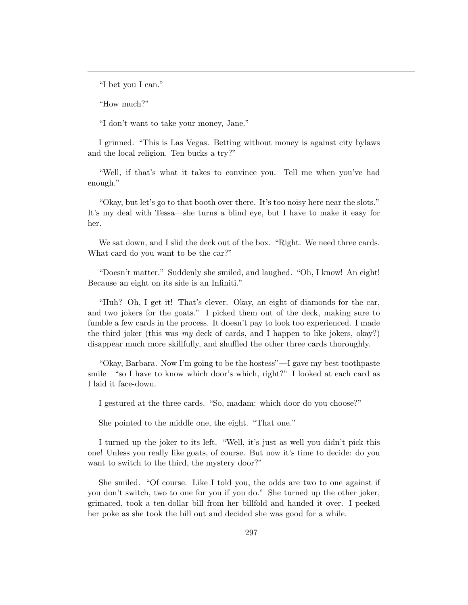"I bet you I can."

"How much?"

"I don't want to take your money, Jane."

I grinned. "This is Las Vegas. Betting without money is against city bylaws and the local religion. Ten bucks a try?"

"Well, if that's what it takes to convince you. Tell me when you've had enough."

"Okay, but let's go to that booth over there. It's too noisy here near the slots." It's my deal with Tessa—she turns a blind eye, but I have to make it easy for her.

We sat down, and I slid the deck out of the box. "Right. We need three cards. What card do you want to be the car?"

"Doesn't matter." Suddenly she smiled, and laughed. "Oh, I know! An eight! Because an eight on its side is an Infiniti."

"Huh? Oh, I get it! That's clever. Okay, an eight of diamonds for the car, and two jokers for the goats." I picked them out of the deck, making sure to fumble a few cards in the process. It doesn't pay to look too experienced. I made the third joker (this was my deck of cards, and I happen to like jokers, okay?) disappear much more skillfully, and shuffled the other three cards thoroughly.

"Okay, Barbara. Now I'm going to be the hostess"—I gave my best toothpaste smile—"so I have to know which door's which, right?" I looked at each card as I laid it face-down.

I gestured at the three cards. "So, madam: which door do you choose?"

She pointed to the middle one, the eight. "That one."

I turned up the joker to its left. "Well, it's just as well you didn't pick this one! Unless you really like goats, of course. But now it's time to decide: do you want to switch to the third, the mystery door?"

She smiled. "Of course. Like I told you, the odds are two to one against if you don't switch, two to one for you if you do." She turned up the other joker, grimaced, took a ten-dollar bill from her billfold and handed it over. I peeked her poke as she took the bill out and decided she was good for a while.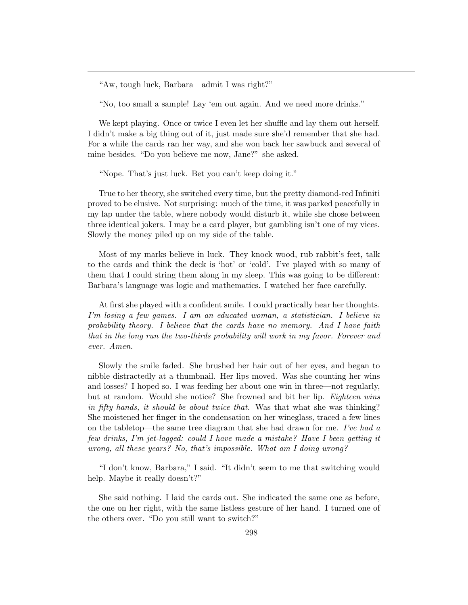"Aw, tough luck, Barbara—admit I was right?"

"No, too small a sample! Lay 'em out again. And we need more drinks."

We kept playing. Once or twice I even let her shuffle and lay them out herself. I didn't make a big thing out of it, just made sure she'd remember that she had. For a while the cards ran her way, and she won back her sawbuck and several of mine besides. "Do you believe me now, Jane?" she asked.

"Nope. That's just luck. Bet you can't keep doing it."

True to her theory, she switched every time, but the pretty diamond-red Infiniti proved to be elusive. Not surprising: much of the time, it was parked peacefully in my lap under the table, where nobody would disturb it, while she chose between three identical jokers. I may be a card player, but gambling isn't one of my vices. Slowly the money piled up on my side of the table.

Most of my marks believe in luck. They knock wood, rub rabbit's feet, talk to the cards and think the deck is 'hot' or 'cold'. I've played with so many of them that I could string them along in my sleep. This was going to be different: Barbara's language was logic and mathematics. I watched her face carefully.

At first she played with a confident smile. I could practically hear her thoughts. I'm losing a few games. I am an educated woman, a statistician. I believe in probability theory. I believe that the cards have no memory. And I have faith that in the long run the two-thirds probability will work in my favor. Forever and ever. Amen.

Slowly the smile faded. She brushed her hair out of her eyes, and began to nibble distractedly at a thumbnail. Her lips moved. Was she counting her wins and losses? I hoped so. I was feeding her about one win in three—not regularly, but at random. Would she notice? She frowned and bit her lip. Eighteen wins in fifty hands, it should be about twice that. Was that what she was thinking? She moistened her finger in the condensation on her wineglass, traced a few lines on the tabletop—the same tree diagram that she had drawn for me. I've had a few drinks, I'm jet-lagged: could I have made a mistake? Have I been getting it wrong, all these years? No, that's impossible. What am I doing wrong?

"I don't know, Barbara," I said. "It didn't seem to me that switching would help. Maybe it really doesn't?"

She said nothing. I laid the cards out. She indicated the same one as before, the one on her right, with the same listless gesture of her hand. I turned one of the others over. "Do you still want to switch?"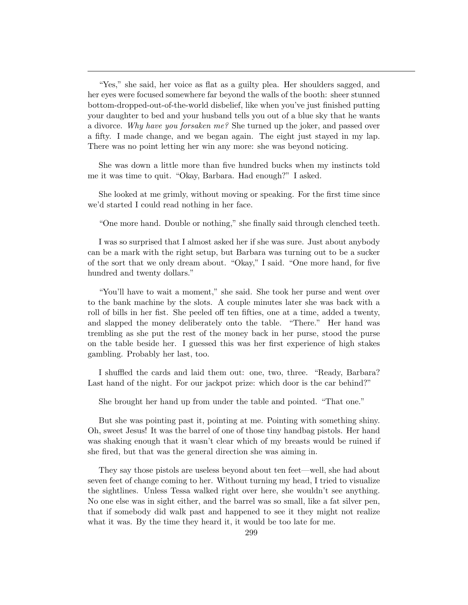"Yes," she said, her voice as flat as a guilty plea. Her shoulders sagged, and her eyes were focused somewhere far beyond the walls of the booth: sheer stunned bottom-dropped-out-of-the-world disbelief, like when you've just finished putting your daughter to bed and your husband tells you out of a blue sky that he wants a divorce. Why have you forsaken me? She turned up the joker, and passed over a fifty. I made change, and we began again. The eight just stayed in my lap. There was no point letting her win any more: she was beyond noticing.

She was down a little more than five hundred bucks when my instincts told me it was time to quit. "Okay, Barbara. Had enough?" I asked.

She looked at me grimly, without moving or speaking. For the first time since we'd started I could read nothing in her face.

"One more hand. Double or nothing," she finally said through clenched teeth.

I was so surprised that I almost asked her if she was sure. Just about anybody can be a mark with the right setup, but Barbara was turning out to be a sucker of the sort that we only dream about. "Okay," I said. "One more hand, for five hundred and twenty dollars."

"You'll have to wait a moment," she said. She took her purse and went over to the bank machine by the slots. A couple minutes later she was back with a roll of bills in her fist. She peeled off ten fifties, one at a time, added a twenty, and slapped the money deliberately onto the table. "There." Her hand was trembling as she put the rest of the money back in her purse, stood the purse on the table beside her. I guessed this was her first experience of high stakes gambling. Probably her last, too.

I shuffled the cards and laid them out: one, two, three. "Ready, Barbara? Last hand of the night. For our jackpot prize: which door is the car behind?"

She brought her hand up from under the table and pointed. "That one."

But she was pointing past it, pointing at me. Pointing with something shiny. Oh, sweet Jesus! It was the barrel of one of those tiny handbag pistols. Her hand was shaking enough that it wasn't clear which of my breasts would be ruined if she fired, but that was the general direction she was aiming in.

They say those pistols are useless beyond about ten feet—well, she had about seven feet of change coming to her. Without turning my head, I tried to visualize the sightlines. Unless Tessa walked right over here, she wouldn't see anything. No one else was in sight either, and the barrel was so small, like a fat silver pen, that if somebody did walk past and happened to see it they might not realize what it was. By the time they heard it, it would be too late for me.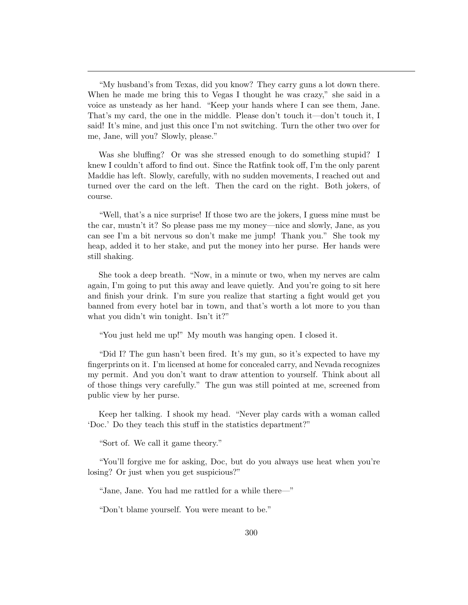"My husband's from Texas, did you know? They carry guns a lot down there. When he made me bring this to Vegas I thought he was crazy," she said in a voice as unsteady as her hand. "Keep your hands where I can see them, Jane. That's my card, the one in the middle. Please don't touch it—don't touch it, I said! It's mine, and just this once I'm not switching. Turn the other two over for me, Jane, will you? Slowly, please."

Was she bluffing? Or was she stressed enough to do something stupid? I knew I couldn't afford to find out. Since the Ratfink took off, I'm the only parent Maddie has left. Slowly, carefully, with no sudden movements, I reached out and turned over the card on the left. Then the card on the right. Both jokers, of course.

"Well, that's a nice surprise! If those two are the jokers, I guess mine must be the car, mustn't it? So please pass me my money—nice and slowly, Jane, as you can see I'm a bit nervous so don't make me jump! Thank you." She took my heap, added it to her stake, and put the money into her purse. Her hands were still shaking.

She took a deep breath. "Now, in a minute or two, when my nerves are calm again, I'm going to put this away and leave quietly. And you're going to sit here and finish your drink. I'm sure you realize that starting a fight would get you banned from every hotel bar in town, and that's worth a lot more to you than what you didn't win tonight. Isn't it?"

"You just held me up!" My mouth was hanging open. I closed it.

"Did I? The gun hasn't been fired. It's my gun, so it's expected to have my fingerprints on it. I'm licensed at home for concealed carry, and Nevada recognizes my permit. And you don't want to draw attention to yourself. Think about all of those things very carefully." The gun was still pointed at me, screened from public view by her purse.

Keep her talking. I shook my head. "Never play cards with a woman called 'Doc.' Do they teach this stuff in the statistics department?"

"Sort of. We call it game theory."

"You'll forgive me for asking, Doc, but do you always use heat when you're losing? Or just when you get suspicious?"

"Jane, Jane. You had me rattled for a while there—"

"Don't blame yourself. You were meant to be."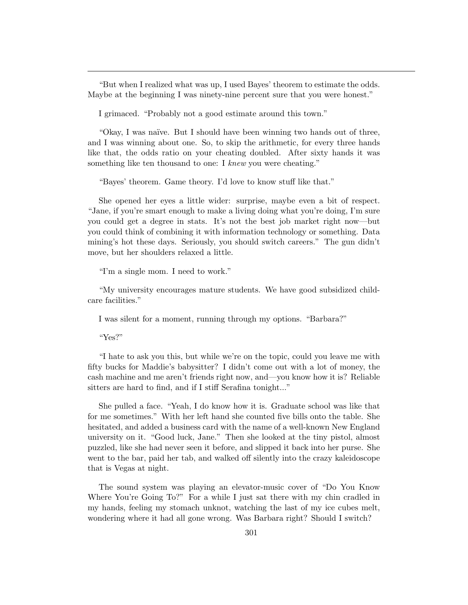"But when I realized what was up, I used Bayes' theorem to estimate the odds. Maybe at the beginning I was ninety-nine percent sure that you were honest."

I grimaced. "Probably not a good estimate around this town."

"Okay, I was na¨ıve. But I should have been winning two hands out of three, and I was winning about one. So, to skip the arithmetic, for every three hands like that, the odds ratio on your cheating doubled. After sixty hands it was something like ten thousand to one: I knew you were cheating."

"Bayes' theorem. Game theory. I'd love to know stuff like that."

She opened her eyes a little wider: surprise, maybe even a bit of respect. "Jane, if you're smart enough to make a living doing what you're doing, I'm sure you could get a degree in stats. It's not the best job market right now—but you could think of combining it with information technology or something. Data mining's hot these days. Seriously, you should switch careers." The gun didn't move, but her shoulders relaxed a little.

"I'm a single mom. I need to work."

"My university encourages mature students. We have good subsidized childcare facilities."

I was silent for a moment, running through my options. "Barbara?"

"Yes?"

"I hate to ask you this, but while we're on the topic, could you leave me with fifty bucks for Maddie's babysitter? I didn't come out with a lot of money, the cash machine and me aren't friends right now, and—you know how it is? Reliable sitters are hard to find, and if I stiff Serafina tonight..."

She pulled a face. "Yeah, I do know how it is. Graduate school was like that for me sometimes." With her left hand she counted five bills onto the table. She hesitated, and added a business card with the name of a well-known New England university on it. "Good luck, Jane." Then she looked at the tiny pistol, almost puzzled, like she had never seen it before, and slipped it back into her purse. She went to the bar, paid her tab, and walked off silently into the crazy kaleidoscope that is Vegas at night.

The sound system was playing an elevator-music cover of "Do You Know Where You're Going To?" For a while I just sat there with my chin cradled in my hands, feeling my stomach unknot, watching the last of my ice cubes melt, wondering where it had all gone wrong. Was Barbara right? Should I switch?